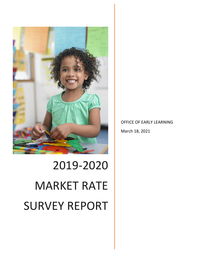

OFFICE OF EARLY LEARNING March 18, 2021

# 2019-2020 MARKET RATE SURVEY REPORT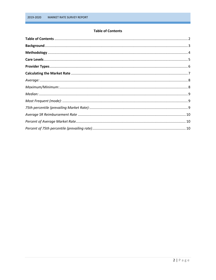## <span id="page-1-0"></span>**Table of Contents**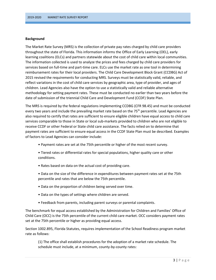## <span id="page-2-0"></span>**Background**

The Market Rate Survey (MRS) is the collection of private pay rates charged by child care providers throughout the state of Florida. This information informs the Office of Early Learning (OEL), early learning coalitions (ELCs) and partners statewide about the cost of child care within local communities. The information collected is used to analyze the prices and fees charged by child care providers for services based on full-time and part-time care. ELCs use the market rate as one tool in determining reimbursement rates for their local providers. The Child Care Development Block Grant (CCDBG) Act of 2015 revised the requirements for conducting MRS. Surveys must be statistically valid, reliable, and reflect variations in the cost of child care services by geographic area, type of provider, and ages of children. Lead Agencies also have the option to use a statistically valid and reliable alternative methodology for setting payment rates. These must be conducted no earlier than two years before the date of submission of the triennial Child Care and Development Fund (CCDF) State Plan.

The MRS is required by the federal regulations implementing CCDBG (CFR 98.45) and must be conducted every two years and include the prevailing market rate based on the  $75<sup>th</sup>$  percentile. Lead Agencies are also required to certify that rates are sufficient to ensure eligible children have equal access to child care services comparable to those in State or local sub-markets provided to children who are not eligible to receive CCDF or other Federal or State child care assistance. The facts relied on to determine that payment rates are sufficient to ensure equal access in the CCDF State Plan must be described. Examples of factors to Lead Agencies can consider include:

- Payment rates are set at the 75th percentile or higher of the most recent survey.
- Tiered rates or differential rates for special populations, higher quality care or other conditions.
- Rates based on data on the actual cost of providing care.
- Data on the size of the difference in expenditures between payment rates set at the 75th percentile and rates that are below the 75th percentile.
- Data on the proportion of children being served over time.
- Data on the types of settings where children are served.
- Feedback from parents, including parent surveys or parental complaints.

The benchmark for equal access established by the Administration for Children and Families' Office of Child Care (OCC) is the 75th percentile of the current child care market. OCC considers payment rates set at the 75th percentile or higher as providing equal access.

Section 1002.895, Florida Statutes, requires implementation of the School Readiness program market rate as follows:

(1) The office shall establish procedures for the adoption of a market rate schedule. The schedule must include, at a minimum, county-by-county rates: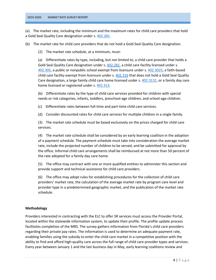# 2019-2020 MARKET RATE SURVEY REPORT

(a) The market rate, including the minimum and the maximum rates for child care providers that hold a Gold Seal Quality Care designation under s. [402.281.](https://www.flsenate.gov/Laws/Statutes/2019/402.281)

(b) The market rate for child care providers that do not hold a Gold Seal Quality Care designation.

(2) The market rate schedule, at a minimum, must:

(a) Differentiate rates by type, including, but not limited to, a child care provider that holds a Gold Seal Quality Care designation under s. [402.281,](https://www.flsenate.gov/Laws/Statutes/2019/402.281) a child care facility licensed under s. [402.305,](https://www.flsenate.gov/Laws/Statutes/2019/402.305) a public or nonpublic school exempt from licensure under s[. 402.3025,](https://www.flsenate.gov/Laws/Statutes/2019/402.3025) a faith-based child care facility exempt from licensure under s[. 402.316](https://www.flsenate.gov/Laws/Statutes/2019/402.316) that does not hold a Gold Seal Quality Care designation, a large family child care home licensed under s. [402.3131,](https://www.flsenate.gov/Laws/Statutes/2019/402.3131) or a family day care home licensed or registered under s. [402.313.](https://www.flsenate.gov/Laws/Statutes/2019/402.313)

(b) Differentiate rates by the type of child care services provided for children with special needs or risk categories, infants, toddlers, preschool-age children, and school-age children.

(c) Differentiate rates between full-time and part-time child care services.

(d) Consider discounted rates for child care services for multiple children in a single family.

(3) The market rate schedule must be based exclusively on the prices charged for child care services.

(4) The market rate schedule shall be considered by an early learning coalition in the adoption of a payment schedule. The payment schedule must take into consideration the average market rate, include the projected number of children to be served, and be submitted for approval by the office. Informal child care arrangements shall be reimbursed at not more than 50 percent of the rate adopted for a family day care home.

(5) The office may contract with one or more qualified entities to administer this section and provide support and technical assistance for child care providers.

(6) The office may adopt rules for establishing procedures for the collection of child care providers' market rate, the calculation of the average market rate by program care level and provider type in a predetermined geographic market, and the publication of the market rate schedule.

# <span id="page-3-0"></span>**Methodology**

Providers interested in contracting with the ELC to offer SR services must access the Provider Portal, located within the statewide information system, to update their profile. The profile update process facilitates completion of the MRS. The survey gathers information from Florida's child care providers regarding their private pay rates. The information is used to determine an adequate payment rate, enabling families using the subsidy to enter the child care market in a competitive position with the ability to find and afford high-quality care across the full range of child care provider types and services. Every year between January 1 and the last business day in May, early learning coalitions review and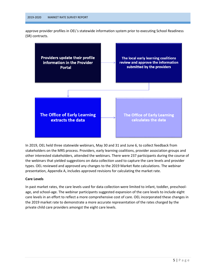approve provider profiles in OEL's statewide information system prior to executing School Readiness (SR) contracts.



In 2019, OEL held three statewide webinars, May 30 and 31 and June 6, to collect feedback from stakeholders on the MRS process. Providers, early learning coalitions, provider association groups and other interested stakeholders, attended the webinars. There were 237 participants during the course of the webinars that yielded suggestions on data collection used to capture the care levels and provider types. OEL reviewed and approved any changes to the 2019 Market Rate calculations. The webinar presentation, Appendix A, includes approved revisions for calculating the market rate.

# <span id="page-4-0"></span>**Care Levels**

In past market rates, the care levels used for data collection were limited to infant, toddler, preschoolage, and school-age. The webinar participants suggested expansion of the care levels to include eight care levels in an effort to reflect a more comprehensive cost of care. OEL incorporated these changes in the 2019 market rate to demonstrate a more accurate representation of the rates charged by the private child care providers amongst the eight care levels.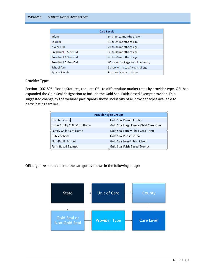#### 2019-2020 MARKET RATE SURVEY REPORT

<span id="page-5-0"></span>

| <b>Care Levels</b>               |  |  |  |  |  |  |
|----------------------------------|--|--|--|--|--|--|
| Birth to 12 months of age        |  |  |  |  |  |  |
| 12 to 24 months of age           |  |  |  |  |  |  |
| 24 to 36 months of age           |  |  |  |  |  |  |
| 36 to 48 months of age           |  |  |  |  |  |  |
| 48 to 60 months of age           |  |  |  |  |  |  |
| 60 months of age to school entry |  |  |  |  |  |  |
| School entry to 14 years of age  |  |  |  |  |  |  |
| Birth to 14 years of age         |  |  |  |  |  |  |
|                                  |  |  |  |  |  |  |

## **Provider Types**

Section 1002.895, Florida Statutes, requires OEL to differentiate market rates by provider type. OEL has expanded the Gold Seal designation to include the Gold Seal Faith-Based Exempt provider. This suggested change by the webinar participants shows inclusivity of all provider types available to participating families.

| <b>Provider Type Groups</b>           |                                        |  |  |  |  |
|---------------------------------------|----------------------------------------|--|--|--|--|
| Private Center                        | <b>Gold Seal Private Center</b>        |  |  |  |  |
| Large Family Child Care Home          | Gold Seal Large Family Child Care Home |  |  |  |  |
| <b><i>CFamily Child Care Home</i></b> | Gold Seal Family Child Care Home       |  |  |  |  |
| Public School                         | Gold Seal Public School                |  |  |  |  |
| Non-Public School                     | Gold Seal Non-Public School            |  |  |  |  |
| <b>Faith-Based Exempt</b>             | Gold Seal Faith-Based Exempt           |  |  |  |  |

OEL organizes the data into the categories shown in the following image:

<span id="page-5-1"></span>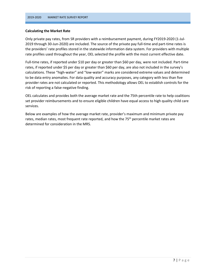## **Calculating the Market Rate**

Only private pay rates, from SR providers with a reimbursement payment, during FY2019-2020 (1-Jul-2019 through 30-Jun-2020) are included. The source of the private pay full-time and part-time rates is the providers' rate profiles stored in the statewide information data system. For providers with multiple rate profiles used throughout the year, OEL selected the profile with the most current effective date.

Full-time rates, if reported under \$10 per day or greater than \$60 per day, were not included. Part-time rates, if reported under \$5 per day or greater than \$60 per day, are also not included in the survey's calculations. These "high-water" and "low-water" marks are considered extreme values and determined to be data entry anomalies. For data quality and accuracy purposes, any category with less than five provider rates are not calculated or reported. This methodology allows OEL to establish controls for the risk of reporting a false-negative finding.

OEL calculates and provides both the average market rate and the 75th percentile rate to help coalitions set provider reimbursements and to ensure eligible children have equal access to high quality child care services.

<span id="page-6-0"></span>Below are examples of how the average market rate, provider's maximum and minimum private pay rates, median rates, most frequent rate reported, and how the 75<sup>th</sup> percentile market rates are determined for consideration in the MRS.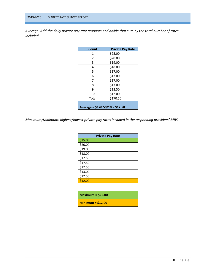*Average: Add the daily private pay rate amounts and divide that sum by the total number of rates included.*

| Count                           | <b>Private Pay Rate</b> |  |  |  |  |
|---------------------------------|-------------------------|--|--|--|--|
| 1                               | \$25.00                 |  |  |  |  |
| 2                               | \$20.00                 |  |  |  |  |
| 3                               | \$19.00                 |  |  |  |  |
| 4                               | \$18.00                 |  |  |  |  |
| 5                               | \$17.00                 |  |  |  |  |
| 6                               | \$17.00                 |  |  |  |  |
| 7                               | \$17.00                 |  |  |  |  |
| 8                               | \$13.00                 |  |  |  |  |
| 9                               | \$12.50                 |  |  |  |  |
| 10                              | \$12.00                 |  |  |  |  |
| Total                           | \$170.50                |  |  |  |  |
| Average = $$170.50/10 = $17.50$ |                         |  |  |  |  |

<span id="page-7-0"></span>*Maximum/Minimum: highest/lowest private pay rates included in the responding providers' MRS.*

| <b>Private Pay Rate</b> |  |  |  |  |  |  |  |
|-------------------------|--|--|--|--|--|--|--|
| \$25.00                 |  |  |  |  |  |  |  |
| \$20.00                 |  |  |  |  |  |  |  |
| \$19.00                 |  |  |  |  |  |  |  |
| \$18.00                 |  |  |  |  |  |  |  |
| \$17.50                 |  |  |  |  |  |  |  |
| \$17.50                 |  |  |  |  |  |  |  |
| \$17.50                 |  |  |  |  |  |  |  |
| \$13.00                 |  |  |  |  |  |  |  |
| \$12.50                 |  |  |  |  |  |  |  |
| \$12.00                 |  |  |  |  |  |  |  |

| Maximum = $$25.00$ |  |
|--------------------|--|
| Minimum = $$12.00$ |  |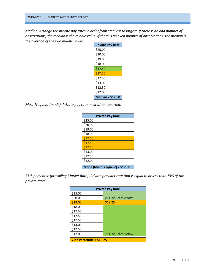*Median: Arrange the private pay rates in order from smallest to largest. If there is an odd number of observations, the median is the middle value. If there is an even number of observations, the median is the average of the two middle values.*

<span id="page-8-0"></span>

| <b>Private Pay Rate</b> |
|-------------------------|
| \$25.00                 |
| \$20.00                 |
| \$19.00                 |
| \$18.00                 |
| \$17.50                 |
| \$17.50                 |
| \$17.50                 |
| \$13.00                 |
| \$12.50                 |
| \$12.00                 |
| <b>Median = \$17.50</b> |

<span id="page-8-1"></span>*Most Frequent (mode): Private pay rate most often reported.*

|         | <b>Private Pay Rate</b>        |
|---------|--------------------------------|
| \$25.00 |                                |
| \$20.00 |                                |
| \$19.00 |                                |
| \$18.00 |                                |
| \$17.50 |                                |
| \$17.50 |                                |
| \$17.50 |                                |
| \$13.00 |                                |
| \$12.50 |                                |
| \$12.00 |                                |
|         | Mode (Most Frequent) = \$17.50 |

<span id="page-8-2"></span>*75th percentile (prevailing Market Rate): Private provider rate that is equal to or less than 75% of the private rates.*

| <b>Private Pay Rate</b>    |                    |  |  |  |  |
|----------------------------|--------------------|--|--|--|--|
| \$25.00                    |                    |  |  |  |  |
| \$20.00                    | 25% of Rates Above |  |  |  |  |
| \$19.00                    | \$19.25            |  |  |  |  |
| \$18.00                    |                    |  |  |  |  |
| \$17.50                    |                    |  |  |  |  |
| \$17.50                    |                    |  |  |  |  |
| \$17.50                    |                    |  |  |  |  |
| \$13.00                    |                    |  |  |  |  |
| \$12.50                    |                    |  |  |  |  |
| \$12.00                    | 75% of Rates Below |  |  |  |  |
| 75th Percentile = $$19.25$ |                    |  |  |  |  |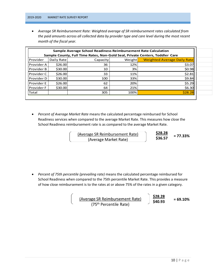<span id="page-9-0"></span> *Average SR Reimbursement Rate: Weighted average of SR reimbursement rates calculated from the paid amounts across all collected data by provider type and care level during the most recent month of the fiscal year.*

| Sample Average School Readiness Reimbursement Rate Calculation<br>Sample County, Full Time Rates, Non-Gold Seal, Private Centers, Toddler Care |            |          |        |                                    |  |  |  |
|------------------------------------------------------------------------------------------------------------------------------------------------|------------|----------|--------|------------------------------------|--|--|--|
| Provider                                                                                                                                       | Daily Rate | Capacity | Weight | <b>Weighted Average Daily Rate</b> |  |  |  |
| Provider A                                                                                                                                     | \$26.00    | 36       | 12%    | \$3.07                             |  |  |  |
| Provider B                                                                                                                                     | \$30.00    | 10       | 3%     | \$0.98                             |  |  |  |
| Provider C                                                                                                                                     | \$26.00    | 33       | 11%    | \$2.81                             |  |  |  |
| Provider D                                                                                                                                     | \$30.00    | 100      | 33%    | \$9.84                             |  |  |  |
| <b>Provider E</b>                                                                                                                              | \$26.00    | 62       | 20%    | \$5.29                             |  |  |  |
| <b>Provider F</b>                                                                                                                              | \$30.00    | 64       | 21%    | \$6.30                             |  |  |  |
| Total                                                                                                                                          |            | 305      | 100%   | \$28.28                            |  |  |  |

<span id="page-9-1"></span> *Percent of Average Market Rate* means the calculated percentage reimbursed for School Readiness services when compared to the average Market Rate. This measures how close the School Readiness reimbursement rate is as compared to the average Market Rate.

| (Average SR Reimbursement Rate) | \$28.       |
|---------------------------------|-------------|
| (Average Market Rate)           | <b>S36.</b> |

<u>.28</u><br>.57 **\$36.57 = 77.33%**

<span id="page-9-2"></span> *Percent of 75th percentile (prevailing rate)* means the calculated percentage reimbursed for School Readiness when compared to the 75th percentile Market Rate. This provides a measure of how close reimbursement is to the rates at or above 75% of the rates in a given category.

> **\$28.28** (Average SR Reimbursement Rate)<br>(75<sup>th</sup> Percentile Rate)  $\frac{928128}{540.93}$  = 69.10%